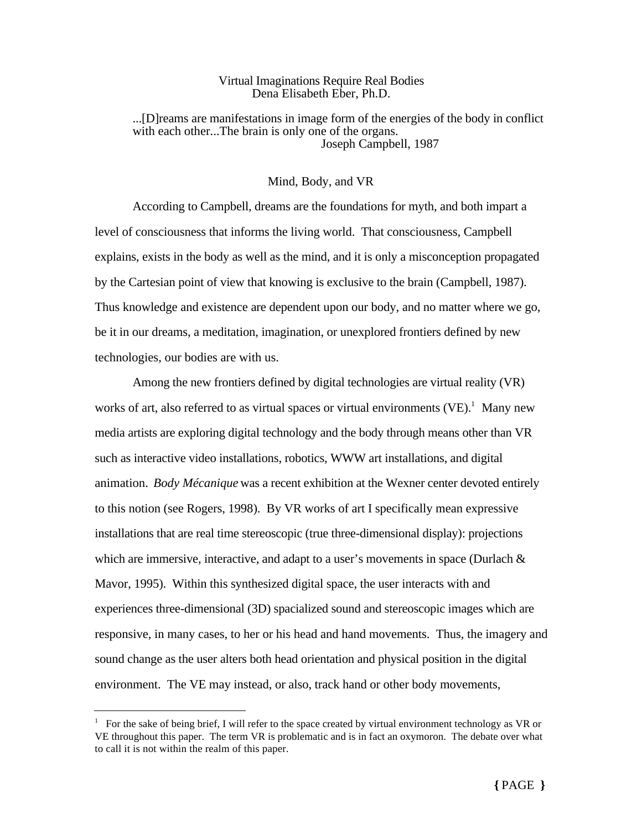### Virtual Imaginations Require Real Bodies Dena Elisabeth Eber, Ph.D.

...[D]reams are manifestations in image form of the energies of the body in conflict with each other...The brain is only one of the organs. Joseph Campbell, 1987

## Mind, Body, and VR

According to Campbell, dreams are the foundations for myth, and both impart a level of consciousness that informs the living world. That consciousness, Campbell explains, exists in the body as well as the mind, and it is only a misconception propagated by the Cartesian point of view that knowing is exclusive to the brain (Campbell, 1987). Thus knowledge and existence are dependent upon our body, and no matter where we go, be it in our dreams, a meditation, imagination, or unexplored frontiers defined by new technologies, our bodies are with us.

Among the new frontiers defined by digital technologies are virtual reality (VR) works of art, also referred to as virtual spaces or virtual environments  $(VE)^1$ . Many new media artists are exploring digital technology and the body through means other than VR such as interactive video installations, robotics, WWW art installations, and digital animation. *Body Mécanique* was a recent exhibition at the Wexner center devoted entirely to this notion (see Rogers, 1998). By VR works of art I specifically mean expressive installations that are real time stereoscopic (true three-dimensional display): projections which are immersive, interactive, and adapt to a user's movements in space (Durlach & Mavor, 1995). Within this synthesized digital space, the user interacts with and experiences three-dimensional (3D) spacialized sound and stereoscopic images which are responsive, in many cases, to her or his head and hand movements. Thus, the imagery and sound change as the user alters both head orientation and physical position in the digital environment. The VE may instead, or also, track hand or other body movements,

 $\overline{a}$ 

<sup>&</sup>lt;sup>1</sup> For the sake of being brief, I will refer to the space created by virtual environment technology as VR or VE throughout this paper. The term VR is problematic and is in fact an oxymoron. The debate over what to call it is not within the realm of this paper.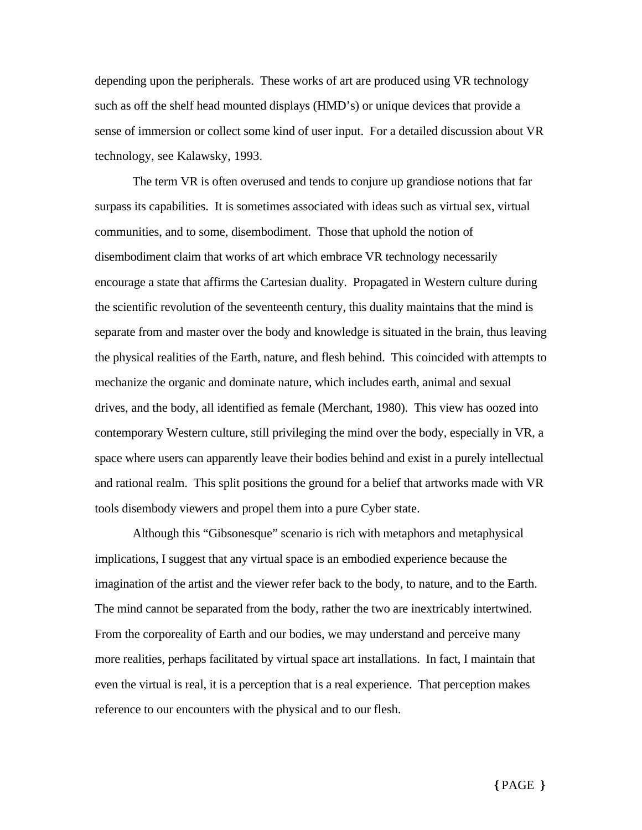depending upon the peripherals. These works of art are produced using VR technology such as off the shelf head mounted displays (HMD's) or unique devices that provide a sense of immersion or collect some kind of user input. For a detailed discussion about VR technology, see Kalawsky, 1993.

The term VR is often overused and tends to conjure up grandiose notions that far surpass its capabilities. It is sometimes associated with ideas such as virtual sex, virtual communities, and to some, disembodiment. Those that uphold the notion of disembodiment claim that works of art which embrace VR technology necessarily encourage a state that affirms the Cartesian duality. Propagated in Western culture during the scientific revolution of the seventeenth century, this duality maintains that the mind is separate from and master over the body and knowledge is situated in the brain, thus leaving the physical realities of the Earth, nature, and flesh behind. This coincided with attempts to mechanize the organic and dominate nature, which includes earth, animal and sexual drives, and the body, all identified as female (Merchant, 1980). This view has oozed into contemporary Western culture, still privileging the mind over the body, especially in VR, a space where users can apparently leave their bodies behind and exist in a purely intellectual and rational realm. This split positions the ground for a belief that artworks made with VR tools disembody viewers and propel them into a pure Cyber state.

Although this "Gibsonesque" scenario is rich with metaphors and metaphysical implications, I suggest that any virtual space is an embodied experience because the imagination of the artist and the viewer refer back to the body, to nature, and to the Earth. The mind cannot be separated from the body, rather the two are inextricably intertwined. From the corporeality of Earth and our bodies, we may understand and perceive many more realities, perhaps facilitated by virtual space art installations. In fact, I maintain that even the virtual is real, it is a perception that is a real experience. That perception makes reference to our encounters with the physical and to our flesh.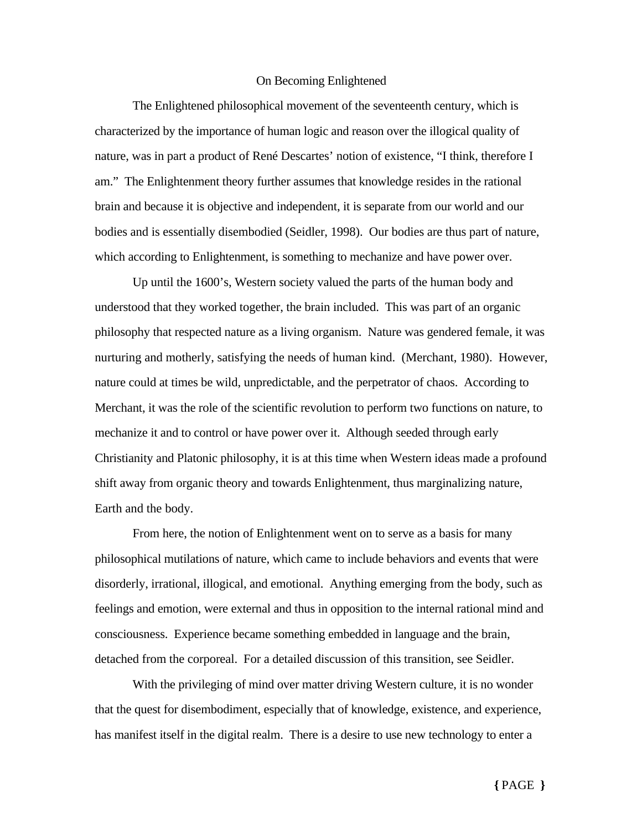# On Becoming Enlightened

The Enlightened philosophical movement of the seventeenth century, which is characterized by the importance of human logic and reason over the illogical quality of nature, was in part a product of René Descartes' notion of existence, "I think, therefore I am." The Enlightenment theory further assumes that knowledge resides in the rational brain and because it is objective and independent, it is separate from our world and our bodies and is essentially disembodied (Seidler, 1998). Our bodies are thus part of nature, which according to Enlightenment, is something to mechanize and have power over.

Up until the 1600's, Western society valued the parts of the human body and understood that they worked together, the brain included. This was part of an organic philosophy that respected nature as a living organism. Nature was gendered female, it was nurturing and motherly, satisfying the needs of human kind. (Merchant, 1980). However, nature could at times be wild, unpredictable, and the perpetrator of chaos. According to Merchant, it was the role of the scientific revolution to perform two functions on nature, to mechanize it and to control or have power over it. Although seeded through early Christianity and Platonic philosophy, it is at this time when Western ideas made a profound shift away from organic theory and towards Enlightenment, thus marginalizing nature, Earth and the body.

From here, the notion of Enlightenment went on to serve as a basis for many philosophical mutilations of nature, which came to include behaviors and events that were disorderly, irrational, illogical, and emotional. Anything emerging from the body, such as feelings and emotion, were external and thus in opposition to the internal rational mind and consciousness. Experience became something embedded in language and the brain, detached from the corporeal. For a detailed discussion of this transition, see Seidler.

With the privileging of mind over matter driving Western culture, it is no wonder that the quest for disembodiment, especially that of knowledge, existence, and experience, has manifest itself in the digital realm. There is a desire to use new technology to enter a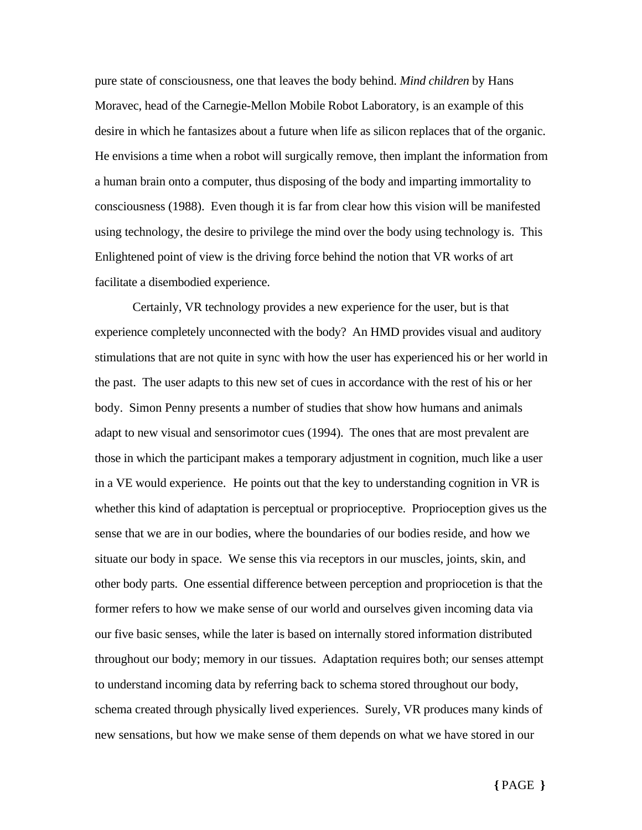pure state of consciousness, one that leaves the body behind. *Mind children* by Hans Moravec, head of the Carnegie-Mellon Mobile Robot Laboratory, is an example of this desire in which he fantasizes about a future when life as silicon replaces that of the organic. He envisions a time when a robot will surgically remove, then implant the information from a human brain onto a computer, thus disposing of the body and imparting immortality to consciousness (1988). Even though it is far from clear how this vision will be manifested using technology, the desire to privilege the mind over the body using technology is. This Enlightened point of view is the driving force behind the notion that VR works of art facilitate a disembodied experience.

Certainly, VR technology provides a new experience for the user, but is that experience completely unconnected with the body? An HMD provides visual and auditory stimulations that are not quite in sync with how the user has experienced his or her world in the past. The user adapts to this new set of cues in accordance with the rest of his or her body. Simon Penny presents a number of studies that show how humans and animals adapt to new visual and sensorimotor cues (1994). The ones that are most prevalent are those in which the participant makes a temporary adjustment in cognition, much like a user in a VE would experience. He points out that the key to understanding cognition in VR is whether this kind of adaptation is perceptual or proprioceptive. Proprioception gives us the sense that we are in our bodies, where the boundaries of our bodies reside, and how we situate our body in space. We sense this via receptors in our muscles, joints, skin, and other body parts. One essential difference between perception and propriocetion is that the former refers to how we make sense of our world and ourselves given incoming data via our five basic senses, while the later is based on internally stored information distributed throughout our body; memory in our tissues. Adaptation requires both; our senses attempt to understand incoming data by referring back to schema stored throughout our body, schema created through physically lived experiences. Surely, VR produces many kinds of new sensations, but how we make sense of them depends on what we have stored in our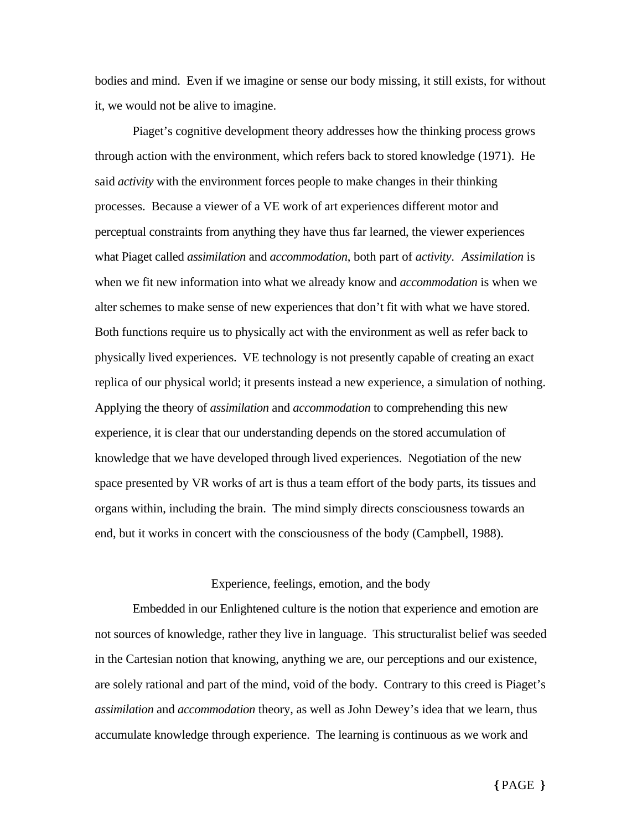bodies and mind. Even if we imagine or sense our body missing, it still exists, for without it, we would not be alive to imagine.

Piaget's cognitive development theory addresses how the thinking process grows through action with the environment, which refers back to stored knowledge (1971). He said *activity* with the environment forces people to make changes in their thinking processes. Because a viewer of a VE work of art experiences different motor and perceptual constraints from anything they have thus far learned, the viewer experiences what Piaget called *assimilation* and *accommodation*, both part of *activity*. *Assimilation* is when we fit new information into what we already know and *accommodation* is when we alter schemes to make sense of new experiences that don't fit with what we have stored. Both functions require us to physically act with the environment as well as refer back to physically lived experiences. VE technology is not presently capable of creating an exact replica of our physical world; it presents instead a new experience, a simulation of nothing. Applying the theory of *assimilation* and *accommodation* to comprehending this new experience, it is clear that our understanding depends on the stored accumulation of knowledge that we have developed through lived experiences. Negotiation of the new space presented by VR works of art is thus a team effort of the body parts, its tissues and organs within, including the brain. The mind simply directs consciousness towards an end, but it works in concert with the consciousness of the body (Campbell, 1988).

# Experience, feelings, emotion, and the body

Embedded in our Enlightened culture is the notion that experience and emotion are not sources of knowledge, rather they live in language. This structuralist belief was seeded in the Cartesian notion that knowing, anything we are, our perceptions and our existence, are solely rational and part of the mind, void of the body. Contrary to this creed is Piaget's *assimilation* and *accommodation* theory, as well as John Dewey's idea that we learn, thus accumulate knowledge through experience. The learning is continuous as we work and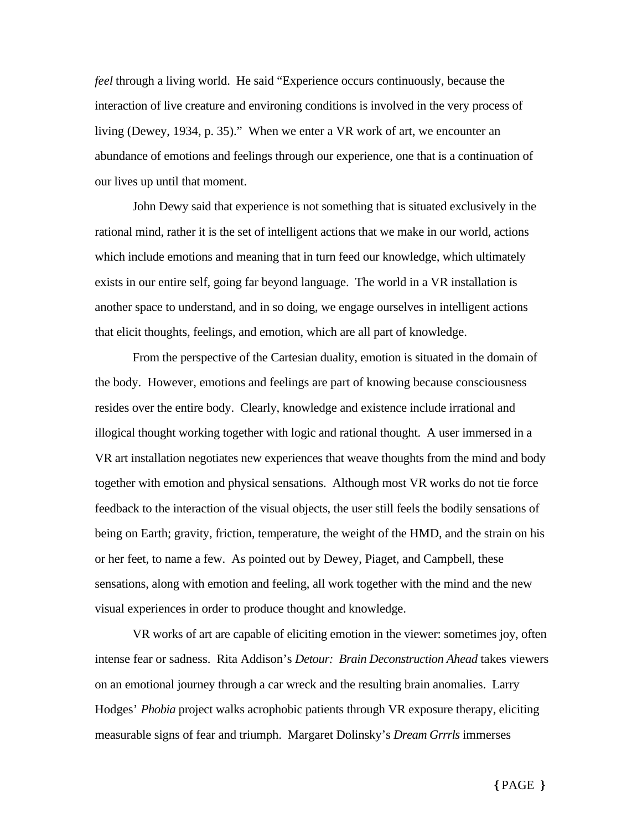*feel* through a living world. He said "Experience occurs continuously, because the interaction of live creature and environing conditions is involved in the very process of living (Dewey, 1934, p. 35)." When we enter a VR work of art, we encounter an abundance of emotions and feelings through our experience, one that is a continuation of our lives up until that moment.

John Dewy said that experience is not something that is situated exclusively in the rational mind, rather it is the set of intelligent actions that we make in our world, actions which include emotions and meaning that in turn feed our knowledge, which ultimately exists in our entire self, going far beyond language. The world in a VR installation is another space to understand, and in so doing, we engage ourselves in intelligent actions that elicit thoughts, feelings, and emotion, which are all part of knowledge.

From the perspective of the Cartesian duality, emotion is situated in the domain of the body. However, emotions and feelings are part of knowing because consciousness resides over the entire body. Clearly, knowledge and existence include irrational and illogical thought working together with logic and rational thought. A user immersed in a VR art installation negotiates new experiences that weave thoughts from the mind and body together with emotion and physical sensations. Although most VR works do not tie force feedback to the interaction of the visual objects, the user still feels the bodily sensations of being on Earth; gravity, friction, temperature, the weight of the HMD, and the strain on his or her feet, to name a few. As pointed out by Dewey, Piaget, and Campbell, these sensations, along with emotion and feeling, all work together with the mind and the new visual experiences in order to produce thought and knowledge.

VR works of art are capable of eliciting emotion in the viewer: sometimes joy, often intense fear or sadness. Rita Addison's *Detour: Brain Deconstruction Ahead* takes viewers on an emotional journey through a car wreck and the resulting brain anomalies. Larry Hodges' *Phobia* project walks acrophobic patients through VR exposure therapy, eliciting measurable signs of fear and triumph. Margaret Dolinsky's *Dream Grrrls* immerses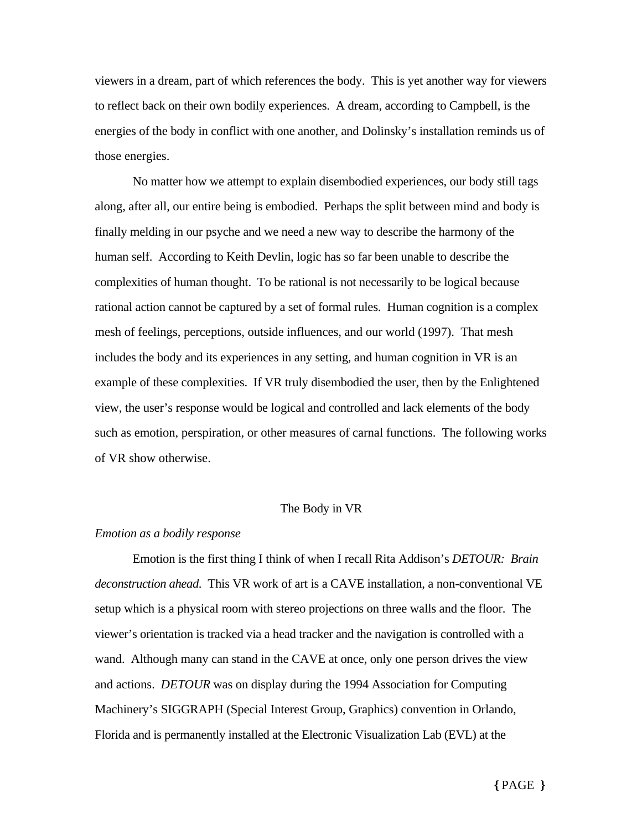viewers in a dream, part of which references the body. This is yet another way for viewers to reflect back on their own bodily experiences. A dream, according to Campbell, is the energies of the body in conflict with one another, and Dolinsky's installation reminds us of those energies.

No matter how we attempt to explain disembodied experiences, our body still tags along, after all, our entire being is embodied. Perhaps the split between mind and body is finally melding in our psyche and we need a new way to describe the harmony of the human self. According to Keith Devlin, logic has so far been unable to describe the complexities of human thought. To be rational is not necessarily to be logical because rational action cannot be captured by a set of formal rules. Human cognition is a complex mesh of feelings, perceptions, outside influences, and our world (1997). That mesh includes the body and its experiences in any setting, and human cognition in VR is an example of these complexities. If VR truly disembodied the user, then by the Enlightened view, the user's response would be logical and controlled and lack elements of the body such as emotion, perspiration, or other measures of carnal functions. The following works of VR show otherwise.

#### The Body in VR

### *Emotion as a bodily response*

Emotion is the first thing I think of when I recall Rita Addison's *DETOUR: Brain deconstruction ahead*. This VR work of art is a CAVE installation, a non-conventional VE setup which is a physical room with stereo projections on three walls and the floor. The viewer's orientation is tracked via a head tracker and the navigation is controlled with a wand. Although many can stand in the CAVE at once, only one person drives the view and actions. *DETOUR* was on display during the 1994 Association for Computing Machinery's SIGGRAPH (Special Interest Group, Graphics) convention in Orlando, Florida and is permanently installed at the Electronic Visualization Lab (EVL) at the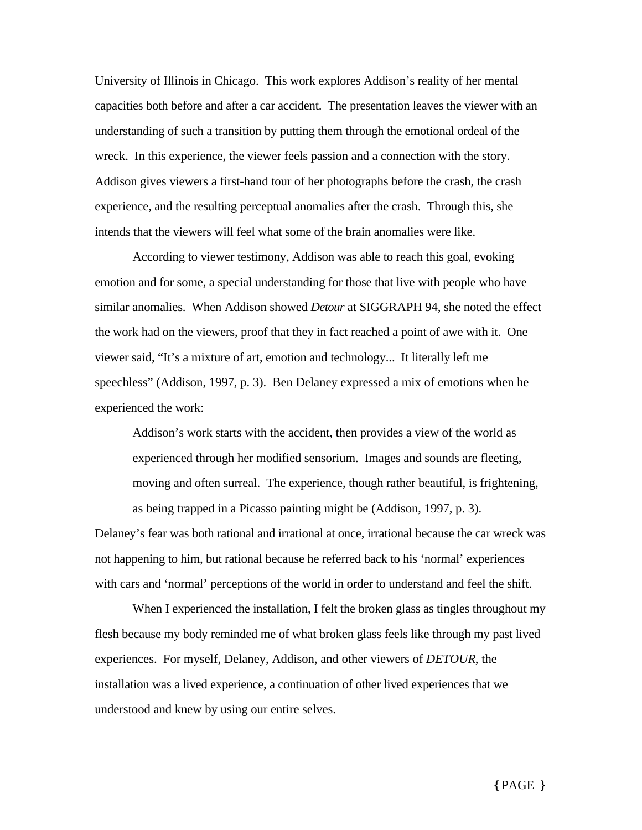University of Illinois in Chicago. This work explores Addison's reality of her mental capacities both before and after a car accident. The presentation leaves the viewer with an understanding of such a transition by putting them through the emotional ordeal of the wreck. In this experience, the viewer feels passion and a connection with the story. Addison gives viewers a first-hand tour of her photographs before the crash, the crash experience, and the resulting perceptual anomalies after the crash. Through this, she intends that the viewers will feel what some of the brain anomalies were like.

According to viewer testimony, Addison was able to reach this goal, evoking emotion and for some, a special understanding for those that live with people who have similar anomalies. When Addison showed *Detour* at SIGGRAPH 94, she noted the effect the work had on the viewers, proof that they in fact reached a point of awe with it. One viewer said, "It's a mixture of art, emotion and technology... It literally left me speechless" (Addison, 1997, p. 3). Ben Delaney expressed a mix of emotions when he experienced the work:

Addison's work starts with the accident, then provides a view of the world as experienced through her modified sensorium. Images and sounds are fleeting, moving and often surreal. The experience, though rather beautiful, is frightening, as being trapped in a Picasso painting might be (Addison, 1997, p. 3).

Delaney's fear was both rational and irrational at once, irrational because the car wreck was not happening to him, but rational because he referred back to his 'normal' experiences with cars and 'normal' perceptions of the world in order to understand and feel the shift.

When I experienced the installation, I felt the broken glass as tingles throughout my flesh because my body reminded me of what broken glass feels like through my past lived experiences. For myself, Delaney, Addison, and other viewers of *DETOUR*, the installation was a lived experience, a continuation of other lived experiences that we understood and knew by using our entire selves.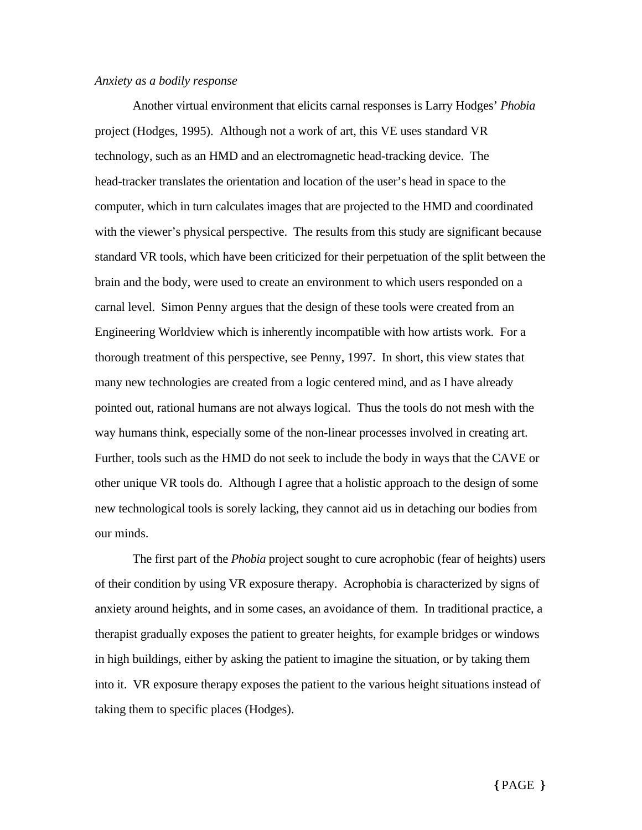### *Anxiety as a bodily response*

Another virtual environment that elicits carnal responses is Larry Hodges' *Phobia* project (Hodges, 1995). Although not a work of art, this VE uses standard VR technology, such as an HMD and an electromagnetic head-tracking device. The head-tracker translates the orientation and location of the user's head in space to the computer, which in turn calculates images that are projected to the HMD and coordinated with the viewer's physical perspective. The results from this study are significant because standard VR tools, which have been criticized for their perpetuation of the split between the brain and the body, were used to create an environment to which users responded on a carnal level. Simon Penny argues that the design of these tools were created from an Engineering Worldview which is inherently incompatible with how artists work. For a thorough treatment of this perspective, see Penny, 1997. In short, this view states that many new technologies are created from a logic centered mind, and as I have already pointed out, rational humans are not always logical. Thus the tools do not mesh with the way humans think, especially some of the non-linear processes involved in creating art. Further, tools such as the HMD do not seek to include the body in ways that the CAVE or other unique VR tools do. Although I agree that a holistic approach to the design of some new technological tools is sorely lacking, they cannot aid us in detaching our bodies from our minds.

The first part of the *Phobia* project sought to cure acrophobic (fear of heights) users of their condition by using VR exposure therapy. Acrophobia is characterized by signs of anxiety around heights, and in some cases, an avoidance of them. In traditional practice, a therapist gradually exposes the patient to greater heights, for example bridges or windows in high buildings, either by asking the patient to imagine the situation, or by taking them into it. VR exposure therapy exposes the patient to the various height situations instead of taking them to specific places (Hodges).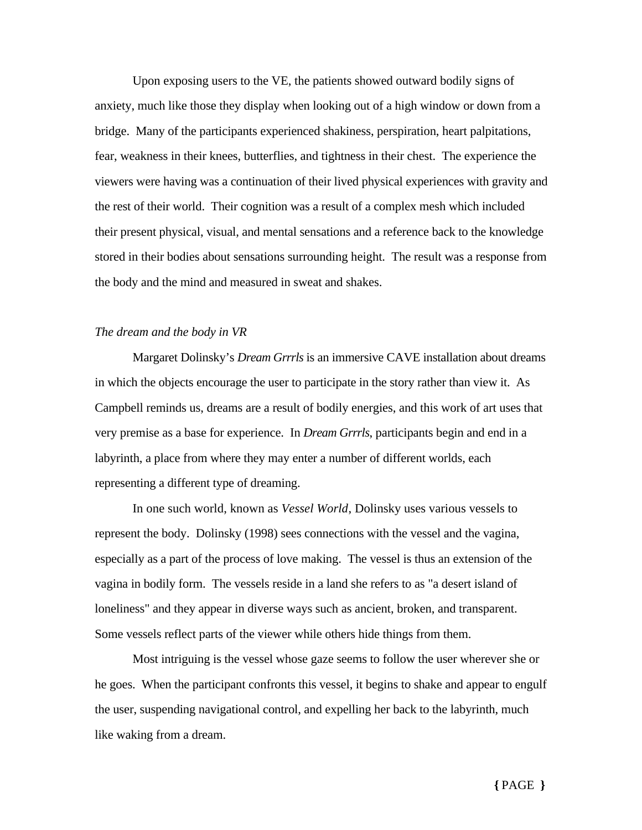Upon exposing users to the VE, the patients showed outward bodily signs of anxiety, much like those they display when looking out of a high window or down from a bridge. Many of the participants experienced shakiness, perspiration, heart palpitations, fear, weakness in their knees, butterflies, and tightness in their chest. The experience the viewers were having was a continuation of their lived physical experiences with gravity and the rest of their world. Their cognition was a result of a complex mesh which included their present physical, visual, and mental sensations and a reference back to the knowledge stored in their bodies about sensations surrounding height. The result was a response from the body and the mind and measured in sweat and shakes.

#### *The dream and the body in VR*

Margaret Dolinsky's *Dream Grrrls* is an immersive CAVE installation about dreams in which the objects encourage the user to participate in the story rather than view it. As Campbell reminds us, dreams are a result of bodily energies, and this work of art uses that very premise as a base for experience. In *Dream Grrrls*, participants begin and end in a labyrinth, a place from where they may enter a number of different worlds, each representing a different type of dreaming.

In one such world, known as *Vessel World*, Dolinsky uses various vessels to represent the body. Dolinsky (1998) sees connections with the vessel and the vagina, especially as a part of the process of love making. The vessel is thus an extension of the vagina in bodily form. The vessels reside in a land she refers to as "a desert island of loneliness" and they appear in diverse ways such as ancient, broken, and transparent. Some vessels reflect parts of the viewer while others hide things from them.

Most intriguing is the vessel whose gaze seems to follow the user wherever she or he goes. When the participant confronts this vessel, it begins to shake and appear to engulf the user, suspending navigational control, and expelling her back to the labyrinth, much like waking from a dream.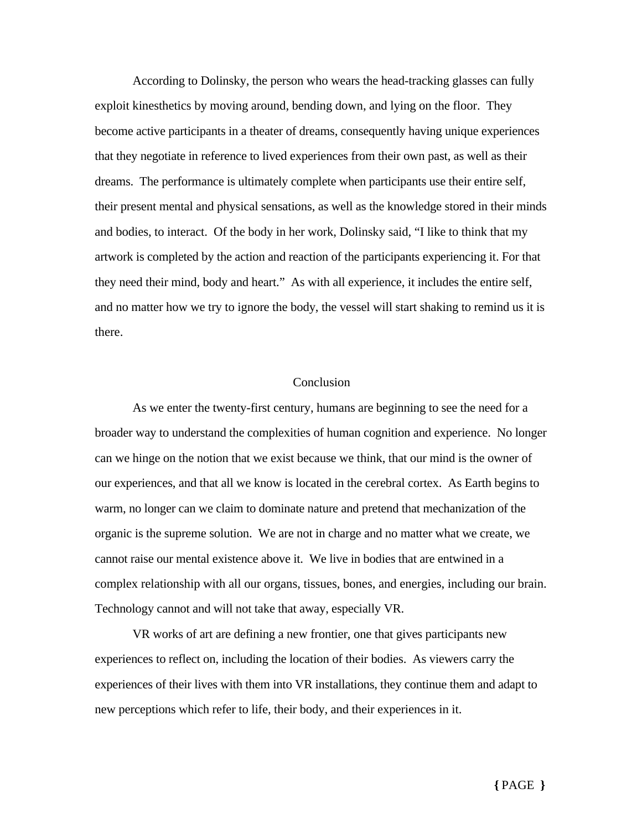According to Dolinsky, the person who wears the head-tracking glasses can fully exploit kinesthetics by moving around, bending down, and lying on the floor. They become active participants in a theater of dreams, consequently having unique experiences that they negotiate in reference to lived experiences from their own past, as well as their dreams. The performance is ultimately complete when participants use their entire self, their present mental and physical sensations, as well as the knowledge stored in their minds and bodies, to interact. Of the body in her work, Dolinsky said, "I like to think that my artwork is completed by the action and reaction of the participants experiencing it. For that they need their mind, body and heart." As with all experience, it includes the entire self, and no matter how we try to ignore the body, the vessel will start shaking to remind us it is there.

# Conclusion

As we enter the twenty-first century, humans are beginning to see the need for a broader way to understand the complexities of human cognition and experience. No longer can we hinge on the notion that we exist because we think, that our mind is the owner of our experiences, and that all we know is located in the cerebral cortex. As Earth begins to warm, no longer can we claim to dominate nature and pretend that mechanization of the organic is the supreme solution. We are not in charge and no matter what we create, we cannot raise our mental existence above it. We live in bodies that are entwined in a complex relationship with all our organs, tissues, bones, and energies, including our brain. Technology cannot and will not take that away, especially VR.

VR works of art are defining a new frontier, one that gives participants new experiences to reflect on, including the location of their bodies. As viewers carry the experiences of their lives with them into VR installations, they continue them and adapt to new perceptions which refer to life, their body, and their experiences in it.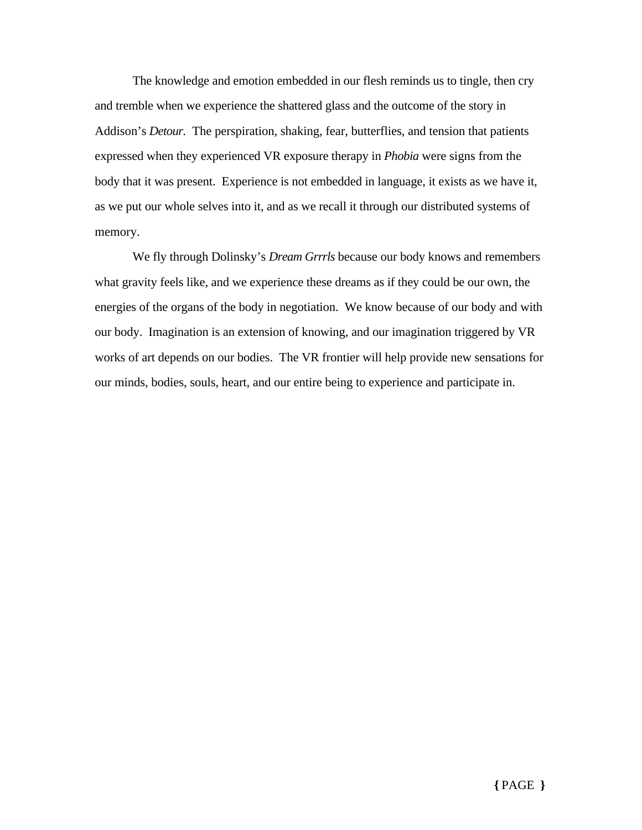The knowledge and emotion embedded in our flesh reminds us to tingle, then cry and tremble when we experience the shattered glass and the outcome of the story in Addison's *Detour*. The perspiration, shaking, fear, butterflies, and tension that patients expressed when they experienced VR exposure therapy in *Phobia* were signs from the body that it was present. Experience is not embedded in language, it exists as we have it, as we put our whole selves into it, and as we recall it through our distributed systems of memory.

We fly through Dolinsky's *Dream Grrrls* because our body knows and remembers what gravity feels like, and we experience these dreams as if they could be our own, the energies of the organs of the body in negotiation. We know because of our body and with our body. Imagination is an extension of knowing, and our imagination triggered by VR works of art depends on our bodies. The VR frontier will help provide new sensations for our minds, bodies, souls, heart, and our entire being to experience and participate in.